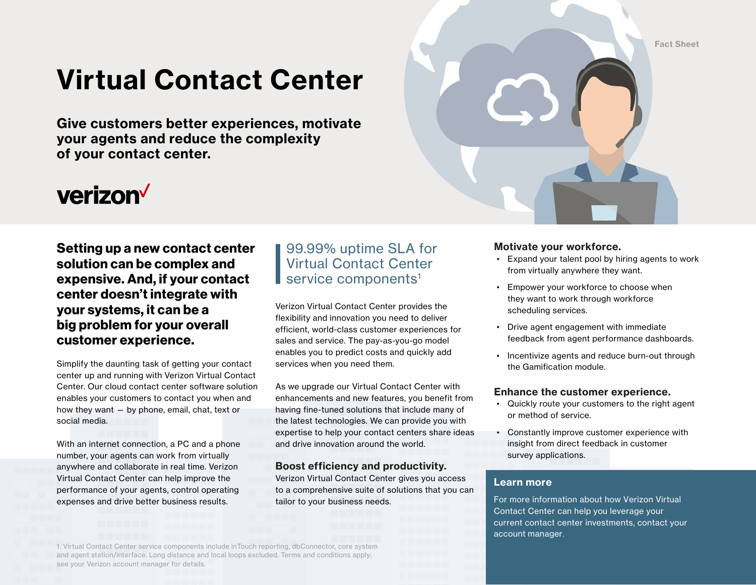Fact Sheet

# Virtual Contact Center

Give customers better experiences, motivate your agents and reduce the complexity of your contact center.

# verizon<sup>V</sup>

## Setting up a new contact center solution can be complex and expensive. And, if your contact center doesn't integrate with your systems, it can be a big problem for your overall customer experience.

Simplify the daunting task of getting your contact center up and running with Verizon Virtual Contact Center. Our cloud contact center software solution enables your customers to contact you when and how they want — by phone, email, chat, text or social media.

With an internet connection, a PC and a phone number, your agents can work from virtually anywhere and collaborate in real time. Verizon Virtual Contact Center can help improve the performance of your agents, control operating expenses and drive better business results.

# 99.99% uptime SLA for Virtual Contact Center service components<sup>1</sup>

Verizon Virtual Contact Center provides the flexibility and innovation you need to deliver efficient, world-class customer experiences for sales and service. The pay-as-you-go model enables you to predict costs and quickly add services when you need them.

As we upgrade our Virtual Contact Center with enhancements and new features, you benefit from having fine-tuned solutions that include many of the latest technologies. We can provide you with expertise to help your contact centers share ideas and drive innovation around the world.

## Boost efficiency and productivity.

Verizon Virtual Contact Center gives you access to a comprehensive suite of solutions that you can tailor to your business needs.

### Motivate your workforce.

- Expand your talent pool by hiring agents to work from virtually anywhere they want.
- Empower your workforce to choose when they want to work through workforce scheduling services.
- Drive agent engagement with immediate feedback from agent performance dashboards.
- Incentivize agents and reduce burn-out through the Gamification module.

### Enhance the customer experience.

- Quickly route your customers to the right agent or method of service.
- Constantly improve customer experience with insight from direct feedback in customer survey applications.

### Learn more

For more information about how Verizon Virtual Contact Center can help you leverage your current contact center investments, contact your account manager.

1. Virtual Contact Center service components include inTouch reporting, dbConnector, core system and agent station/interface. Long distance and local loops excluded. Terms and conditions apply; see your Verizon account manager for details.